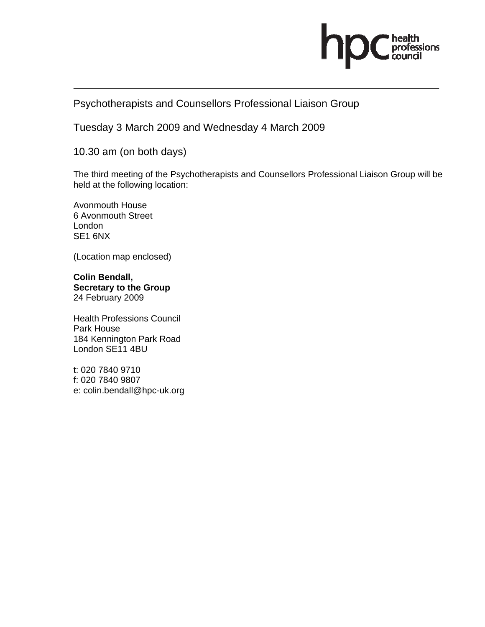

# Psychotherapists and Counsellors Professional Liaison Group

Tuesday 3 March 2009 and Wednesday 4 March 2009

10.30 am (on both days)

The third meeting of the Psychotherapists and Counsellors Professional Liaison Group will be held at the following location:

Avonmouth House 6 Avonmouth Street London SE1 6NX

(Location map enclosed)

**Colin Bendall, Secretary to the Group**  24 February 2009

Health Professions Council Park House 184 Kennington Park Road London SE11 4BU

t: 020 7840 9710 f: 020 7840 9807 e: colin.bendall@hpc-uk.org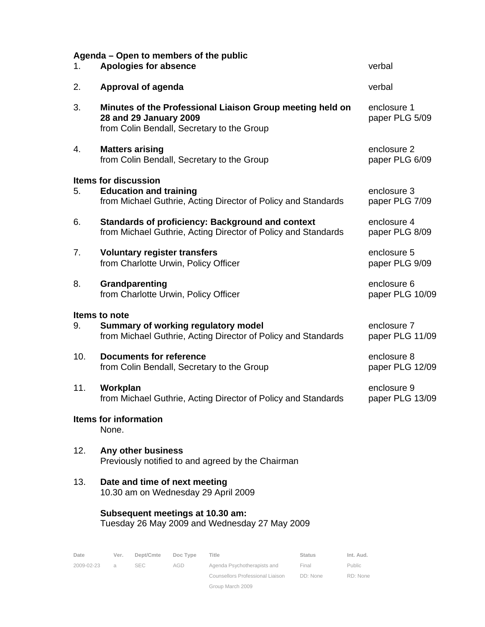| Agenda – Open to members of the public<br>1. | verbal                                                                                                                            |                                |
|----------------------------------------------|-----------------------------------------------------------------------------------------------------------------------------------|--------------------------------|
| 2.                                           | <b>Approval of agenda</b>                                                                                                         | verbal                         |
| 3.                                           | Minutes of the Professional Liaison Group meeting held on<br>28 and 29 January 2009<br>from Colin Bendall, Secretary to the Group | enclosure 1<br>paper PLG 5/09  |
| 4.                                           | <b>Matters arising</b><br>from Colin Bendall, Secretary to the Group                                                              | enclosure 2<br>paper PLG 6/09  |
| 5.                                           | <b>Items for discussion</b><br><b>Education and training</b><br>from Michael Guthrie, Acting Director of Policy and Standards     | enclosure 3<br>paper PLG 7/09  |
| 6.                                           | <b>Standards of proficiency: Background and context</b><br>from Michael Guthrie, Acting Director of Policy and Standards          | enclosure 4<br>paper PLG 8/09  |
| 7.                                           | <b>Voluntary register transfers</b><br>from Charlotte Urwin, Policy Officer                                                       | enclosure 5<br>paper PLG 9/09  |
| 8.                                           | Grandparenting<br>from Charlotte Urwin, Policy Officer                                                                            | enclosure 6<br>paper PLG 10/09 |
| 9.                                           | <b>Items to note</b><br>Summary of working regulatory model<br>from Michael Guthrie, Acting Director of Policy and Standards      | enclosure 7<br>paper PLG 11/09 |
| 10.                                          | <b>Documents for reference</b><br>from Colin Bendall, Secretary to the Group                                                      | enclosure 8<br>paper PLG 12/09 |
| 11.                                          | Workplan<br>from Michael Guthrie, Acting Director of Policy and Standards                                                         | enclosure 9<br>paper PLG 13/09 |
|                                              | <b>Items for information</b><br>None.                                                                                             |                                |
| 12.                                          | Any other business<br>Previously notified to and agreed by the Chairman                                                           |                                |
| 13.                                          | Date and time of next meeting<br>10.30 am on Wednesday 29 April 2009                                                              |                                |
|                                              | Subsequent meetings at 10.30 am:<br>Tuesday 26 May 2009 and Wednesday 27 May 2009                                                 |                                |

| Date       | Ver. | Dept/Cmte  | Doc Type | Title                            | <b>Status</b> | Int. Aud. |
|------------|------|------------|----------|----------------------------------|---------------|-----------|
| 2009-02-23 | a    | <b>SEC</b> | AGD      | Agenda Psychotherapists and      | Final         | Public    |
|            |      |            |          | Counsellors Professional Liaison | DD: None      | RD: None  |
|            |      |            |          | Group March 2009                 |               |           |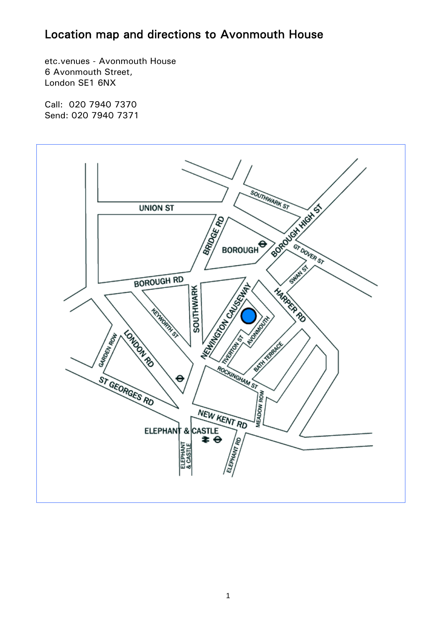# Location map and directions to Avonmouth House

etc.venues - Avonmouth House 6 Avonmouth Street, London SE1 6NX

Call: 020 7940 7370 Send: 020 7940 7371